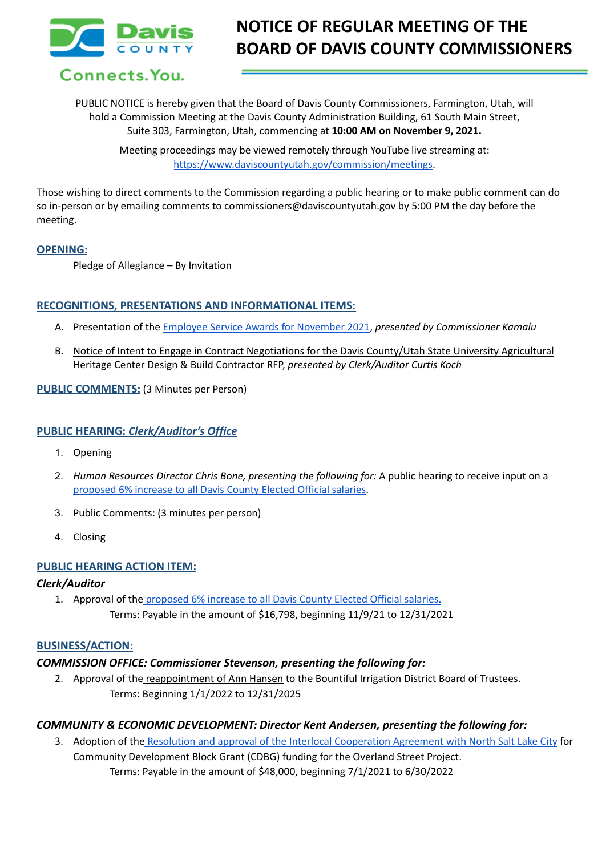

Connects. You.

# **NOTICE OF REGULAR MEETING OF THE BOARD OF DAVIS COUNTY COMMISSIONERS**

PUBLIC NOTICE is hereby given that the Board of Davis County Commissioners, Farmington, Utah, will hold a Commission Meeting at the Davis County Administration Building, 61 South Main Street, Suite 303, Farmington, Utah, commencing at **10:00 AM on November 9, 2021.**

> Meeting proceedings may be viewed remotely through YouTube live streaming at: [https://www.daviscountyutah.gov/commission/meetings.](https://www.daviscountyutah.gov/commission/meetings)

Those wishing to direct comments to the Commission regarding a public hearing or to make public comment can do so in-person or by emailing comments to commissioners@daviscountyutah.gov by 5:00 PM the day before the meeting.

#### **OPENING:**

Pledge of Allegiance – By Invitation

### **RECOGNITIONS, PRESENTATIONS AND INFORMATIONAL ITEMS:**

- A. Presentation of the Employee Service Awards for [November](https://drive.google.com/file/d/1V9bo3fSEWk8I_mGoSk3fz6TxpGrVjukh/view?usp=sharing) 2021, *presented by Commissioner Kamalu*
- B. Notice of Intent to Engage in Contract Negotiations for the Davis County/Utah State University Agricultural Heritage Center Design & Build Contractor RFP, *presented by Clerk/Auditor Curtis Koch*

#### **PUBLIC COMMENTS:** (3 Minutes per Person)

#### **PUBLIC HEARING:** *Clerk/Auditor's Office*

- 1. Opening
- 2. *Human Resources Director Chris Bone, presenting the following for:* A public hearing to receive input on a [proposed](https://drive.google.com/file/d/1V-M_jzGrqb988pJ17RkgCK8P4akmh2z_/view?usp=sharing) 6% increase to all Davis County Elected Official salaries.
- 3. Public Comments: (3 minutes per person)
- 4. Closing

### **PUBLIC HEARING ACTION ITEM:**

### *Clerk/Auditor*

1. Approval of the [proposed](https://drive.google.com/file/d/1V-M_jzGrqb988pJ17RkgCK8P4akmh2z_/view?usp=sharing) 6% increase to all Davis County Elected Official salaries. Terms: Payable in the amount of \$16,798, beginning 11/9/21 to 12/31/2021

### **BUSINESS/ACTION:**

### *COMMISSION OFFICE: Commissioner Stevenson, presenting the following for:*

2. Approval of the reappointment of Ann Hansen to the Bountiful Irrigation District Board of Trustees. Terms: Beginning 1/1/2022 to 12/31/2025

### *COMMUNITY & ECONOMIC DEVELOPMENT: Director Kent Andersen, presenting the following for:*

3. Adoption of the Resolution and approval of the Interlocal [Cooperation](https://drive.google.com/file/d/1zOVgXv-geKQK-eOSqA5Lsl2Yu3vfQMI6/view?usp=sharing) Agreement with North Salt Lake City for Community Development Block Grant (CDBG) funding for the Overland Street Project. Terms: Payable in the amount of \$48,000, beginning 7/1/2021 to 6/30/2022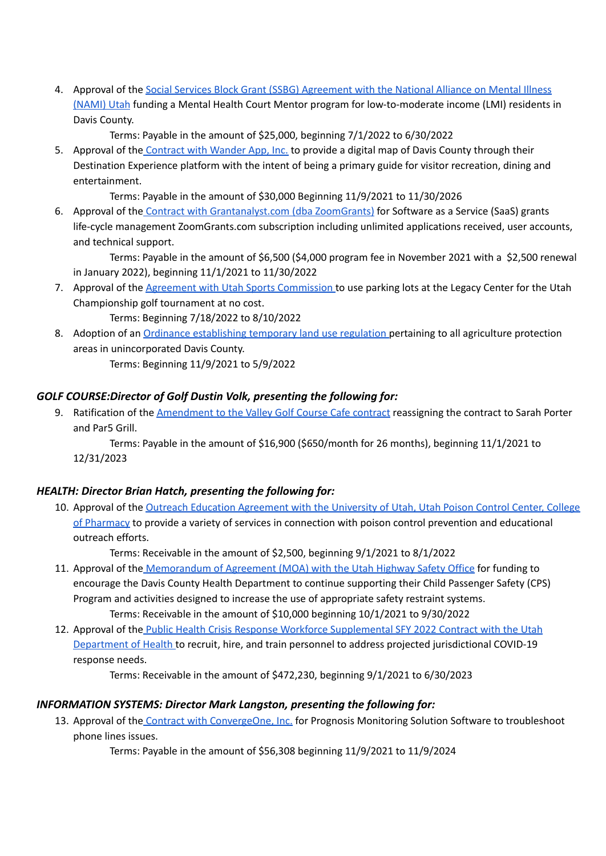4. Approval of the Social Services Block Grant (SSBG) [Agreement](https://drive.google.com/file/d/1Lxcq5AEG77XykB50U0FrTqX-H428_GNG/view?usp=sharing) with the National Alliance on Mental Illness [\(NAMI\)](https://drive.google.com/file/d/1Lxcq5AEG77XykB50U0FrTqX-H428_GNG/view?usp=sharing) Utah funding a Mental Health Court Mentor program for low-to-moderate income (LMI) residents in Davis County.

Terms: Payable in the amount of \$25,000, beginning 7/1/2022 to 6/30/2022

5. Approval of the [Contract](https://drive.google.com/file/d/1QSBRkI0oJTP6SifT6ZVYqndnWqfbcFqJ/view?usp=sharing) with Wander App, Inc. to provide a digital map of Davis County through their Destination Experience platform with the intent of being a primary guide for visitor recreation, dining and entertainment.

Terms: Payable in the amount of \$30,000 Beginning 11/9/2021 to 11/30/2026

6. Approval of the Contract with [Grantanalyst.com](https://drive.google.com/file/d/1qfeJL6Ze9j6IQFZ-Dt6_uYTx8hK_TN3r/view?usp=sharing) (dba ZoomGrants) for Software as a Service (SaaS) grants life-cycle management ZoomGrants.com subscription including unlimited applications received, user accounts, and technical support.

Terms: Payable in the amount of \$6,500 (\$4,000 program fee in November 2021 with a \$2,500 renewal in January 2022), beginning 11/1/2021 to 11/30/2022

7. Approval of the Agreement with Utah Sports [Commission](https://drive.google.com/file/d/1-M7V6pX659ocbZOB4YShKY0gObliU6R2/view?usp=sharing) to use parking lots at the Legacy Center for the Utah Championship golf tournament at no cost.

Terms: Beginning 7/18/2022 to 8/10/2022

8. Adoption of an Ordinance [establishing](https://docs.google.com/document/d/1P71spLXF0wdveIqQy3bEDOfUu3DWQp5o/edit?usp=sharing&ouid=106668054259493981190&rtpof=true&sd=true) temporary land use regulation pertaining to all agriculture protection areas in unincorporated Davis County.

Terms: Beginning 11/9/2021 to 5/9/2022

## *GOLF COURSE:Director of Golf Dustin Volk, presenting the following for:*

9. Ratification of the [Amendment](https://drive.google.com/file/d/1lE3J7Ry8kVvDFVOBhvL5OF_mtf7Yl09u/view?usp=sharing) to the Valley Golf Course Cafe contract reassigning the contract to Sarah Porter and Par5 Grill.

Terms: Payable in the amount of \$16,900 (\$650/month for 26 months), beginning 11/1/2021 to 12/31/2023

## *HEALTH: Director Brian Hatch, presenting the following for:*

10. Approval of the Outreach Education [Agreement](https://drive.google.com/file/d/1H6tI8y2SIV_XA3lYVjTakaebSjCi217f/view?usp=sharing) with the University of Utah, Utah Poison Control Center, College of [Pharmacy](https://drive.google.com/file/d/1H6tI8y2SIV_XA3lYVjTakaebSjCi217f/view?usp=sharing) to provide a variety of services in connection with poison control prevention and educational outreach efforts.

Terms: Receivable in the amount of \$2,500, beginning 9/1/2021 to 8/1/2022

- 11. Approval of the [Memorandum](https://drive.google.com/file/d/1hzO5Y5jhn0bJth9tt-dAA8lBYdWSH4Do/view?usp=sharing) of Agreement (MOA) with the Utah Highway Safety Office for funding to encourage the Davis County Health Department to continue supporting their Child Passenger Safety (CPS) Program and activities designed to increase the use of appropriate safety restraint systems. Terms: Receivable in the amount of \$10,000 beginning 10/1/2021 to 9/30/2022
- 12. Approval of the Public Health Crisis Response Workforce [Supplemental](https://drive.google.com/file/d/1AsmlHFfxPWgQX20DUv68ICeVEdttEP_0/view?usp=sharing) SFY 2022 Contract with the Utah [Department](https://drive.google.com/file/d/1AsmlHFfxPWgQX20DUv68ICeVEdttEP_0/view?usp=sharing) of Health to recruit, hire, and train personnel to address projected jurisdictional COVID-19 response needs.

Terms: Receivable in the amount of \$472,230, beginning 9/1/2021 to 6/30/2023

## *INFORMATION SYSTEMS: Director Mark Langston, presenting the following for:*

13. Approval of the Contract with [ConvergeOne,](https://drive.google.com/file/d/1V-5SBgzZ0Dh3Q2wI0BME3mux52EQW7H2/view?usp=sharing) Inc. for Prognosis Monitoring Solution Software to troubleshoot phone lines issues.

Terms: Payable in the amount of \$56,308 beginning 11/9/2021 to 11/9/2024